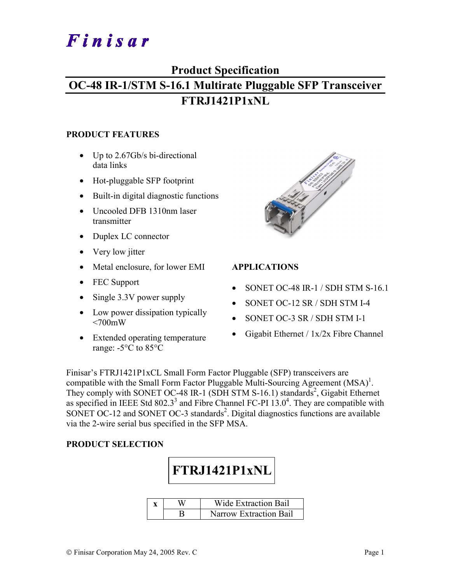# Finisar

# **Product Specification**

# **OC-48 IR-1/STM S-16.1 Multirate Pluggable SFP Transceiver FTRJ1421P1xNL**

#### **PRODUCT FEATURES**

- Up to 2.67Gb/s bi-directional data links
- Hot-pluggable SFP footprint
- Built-in digital diagnostic functions
- Uncooled DFB 1310nm laser transmitter
- Duplex LC connector
- Very low jitter
- Metal enclosure, for lower EMI
- FEC Support
- Single 3.3V power supply
- Low power dissipation typically  $<700$ mW
- Extended operating temperature range: -5°C to 85°C



### **APPLICATIONS**

- SONET OC-48 IR-1 / SDH STM S-16.1
- SONET OC-12 SR / SDH STM I-4
- SONET OC-3 SR / SDH STM I-1
- Gigabit Ethernet / 1x/2x Fibre Channel

Finisar's FTRJ1421P1xCL Small Form Factor Pluggable (SFP) transceivers are compatible with the Small Form Factor Pluggable Multi-Sourcing Agreement  $(MSA)^{1}$ . They comply with SONET OC-48 IR-1 (SDH STM S-16.1) standards<sup>2</sup>, Gigabit Ethernet as specified in IEEE Std 802.3<sup>3</sup> and Fibre Channel FC-PI  $13.0<sup>4</sup>$ . They are compatible with SONET OC-12 and SONET OC-3 standards<sup>2</sup>. Digital diagnostics functions are available via the 2-wire serial bus specified in the SFP MSA.

#### **PRODUCT SELECTION**

**FTRJ1421P1xNL** 

|  | Wide Extraction Bail   |
|--|------------------------|
|  | Narrow Extraction Bail |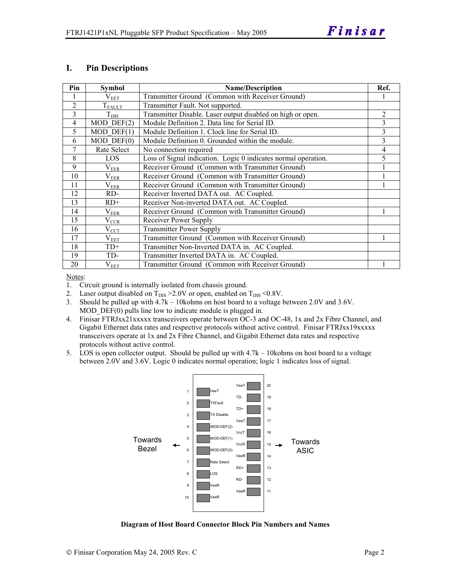#### **I. Pin Descriptions**

| Pin            | <b>Symbol</b>    | <b>Name/Description</b>                                        | Ref.           |
|----------------|------------------|----------------------------------------------------------------|----------------|
|                | $\rm V_{EET}$    | Transmitter Ground (Common with Receiver Ground)               |                |
| $\overline{2}$ | $T_{\rm FALLT}$  | Transmitter Fault. Not supported.                              |                |
| 3              | $T_{\text{DIS}}$ | Transmitter Disable. Laser output disabled on high or open.    | $\overline{c}$ |
| $\overline{4}$ | $MOD$ DEF $(2)$  | Module Definition 2. Data line for Serial ID.                  | 3              |
| 5              | $MOD$ DEF $(1)$  | Module Definition 1. Clock line for Serial ID.                 | 3              |
| 6              | $MOD$ $DEF(0)$   | Module Definition 0. Grounded within the module.               | 3              |
| 7              | Rate Select      | No connection required                                         | 4              |
| 8              | LOS              | Loss of Signal indication. Logic 0 indicates normal operation. | 5              |
| 9              | $\rm V_{EER}$    | Receiver Ground (Common with Transmitter Ground)               |                |
| 10             | $\rm V_{EER}$    | Receiver Ground (Common with Transmitter Ground)               |                |
| 11             | $\rm V_{EER}$    | Receiver Ground (Common with Transmitter Ground)               |                |
| 12             | RD-              | Receiver Inverted DATA out. AC Coupled.                        |                |
| 13             | $RD+$            | Receiver Non-inverted DATA out. AC Coupled.                    |                |
| 14             | $\rm V_{EER}$    | Receiver Ground (Common with Transmitter Ground)               |                |
| 15             | $\rm V_{CCR}$    | Receiver Power Supply                                          |                |
| 16             | $V_{\rm CCT}$    | <b>Transmitter Power Supply</b>                                |                |
| 17             | $\rm V_{EET}$    | Transmitter Ground (Common with Receiver Ground)               |                |
| 18             | $TD+$            | Transmitter Non-Inverted DATA in. AC Coupled.                  |                |
| 19             | TD-              | Transmitter Inverted DATA in. AC Coupled.                      |                |
| 20             | $\rm V_{EET}$    | Transmitter Ground (Common with Receiver Ground)               |                |

Notes:

1. Circuit ground is internally isolated from chassis ground.

2. Laser output disabled on  $T_{DIS} > 2.0V$  or open, enabled on  $T_{DIS} < 0.8V$ .

3. Should be pulled up with 4.7k – 10kohms on host board to a voltage between 2.0V and 3.6V. MOD DEF(0) pulls line low to indicate module is plugged in.

- 4. Finisar FTRJxx21xxxxx transceivers operate between OC-3 and OC-48, 1x and 2x Fibre Channel, and Gigabit Ethernet data rates and respective protocols without active control. Finisar FTRJxx19xxxxx transceivers operate at 1x and 2x Fibre Channel, and Gigabit Ethernet data rates and respective protocols without active control.
- 5. LOS is open collector output. Should be pulled up with 4.7k 10kohms on host board to a voltage between 2.0V and 3.6V. Logic 0 indicates normal operation; logic 1 indicates loss of signal.



**Diagram of Host Board Connector Block Pin Numbers and Names**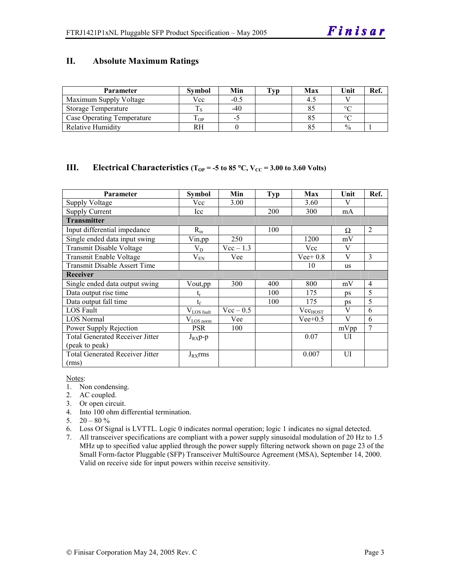#### **II. Absolute Maximum Ratings**

| <b>Parameter</b>           | Svmbol | Min    | Typ | Max | Unit          | Ref |
|----------------------------|--------|--------|-----|-----|---------------|-----|
| Maximum Supply Voltage     | Vcc    | $-0.5$ |     |     |               |     |
| Storage Temperature        |        | $-40$  |     |     | $\circ$       |     |
| Case Operating Temperature | L OP   |        |     |     | $\circ$       |     |
| Relative Humidity          | RН     |        |     |     | $\frac{0}{0}$ |     |

#### **III.** Electrical Characteristics ( $T_{OP} = -5$  to 85 °C,  $V_{CC} = 3.00$  to 3.60 Volts)

| <b>Parameter</b>                       | Symbol                 | Min         | Typ        | Max                 | Unit | Ref.           |
|----------------------------------------|------------------------|-------------|------------|---------------------|------|----------------|
| <b>Supply Voltage</b>                  | Vcc                    | 3.00        |            | 3.60                | V    |                |
| <b>Supply Current</b>                  | Icc                    |             | <b>200</b> | 300                 | mA   |                |
| <b>Transmitter</b>                     |                        |             |            |                     |      |                |
| Input differential impedance           | $R_{in}$               |             | 100        |                     | Ω    | 2              |
| Single ended data input swing          | Vin,pp                 | 250         |            | 1200                | mV   |                |
| Transmit Disable Voltage               | $\rm V_{D}$            | $Vec-1.3$   |            | Vcc                 | V    |                |
| Transmit Enable Voltage                | $V_{EN}$               | Vee         |            | $Vee+0.8$           | V    | 3              |
| Transmit Disable Assert Time           |                        |             |            | 10                  | us   |                |
| Receiver                               |                        |             |            |                     |      |                |
| Single ended data output swing         | Vout,pp                | 300         | 400        | 800                 | mV   | $\overline{4}$ |
| Data output rise time                  | t,                     |             | 100        | 175                 | ps   | 5              |
| Data output fall time                  | $t_f$                  |             | 100        | 175                 | ps   | 5              |
| LOS Fault                              | $V_{\text{LOS fault}}$ | $Vec - 0.5$ |            | Vec <sub>HOST</sub> | V    | 6              |
| <b>LOS Normal</b>                      | $V_{LOS\,norm}$        | Vee         |            | $Vee+0.5$           | V    | 6              |
| Power Supply Rejection                 | <b>PSR</b>             | 100         |            |                     | mVpp | $\overline{7}$ |
| <b>Total Generated Receiver Jitter</b> | $J_{RX}p-p$            |             |            | 0.07                | UI   |                |
| (peak to peak)                         |                        |             |            |                     |      |                |
| <b>Total Generated Receiver Jitter</b> | $J_{RX}$ rms           |             |            | 0.007               | UI   |                |
| (rms)                                  |                        |             |            |                     |      |                |

Notes:

1. Non condensing.

- 2. AC coupled.
- 3. Or open circuit.
- 4. Into 100 ohm differential termination.
- 5.  $20 80 \%$
- 6. Loss Of Signal is LVTTL. Logic 0 indicates normal operation; logic 1 indicates no signal detected.
- 7. All transceiver specifications are compliant with a power supply sinusoidal modulation of 20 Hz to 1.5 MHz up to specified value applied through the power supply filtering network shown on page 23 of the Small Form-factor Pluggable (SFP) Transceiver MultiSource Agreement (MSA), September 14, 2000. Valid on receive side for input powers within receive sensitivity.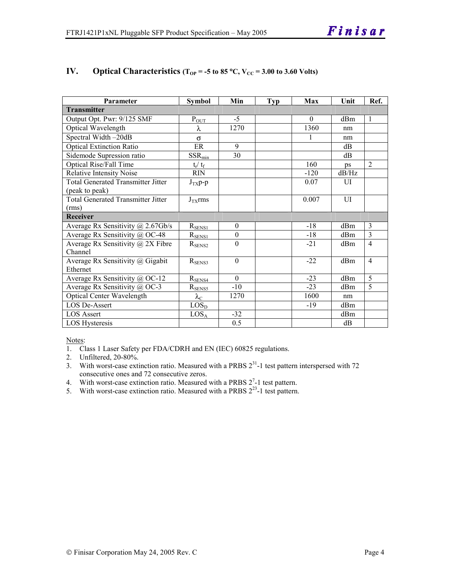| Parameter                                 | <b>Symbol</b>     | Min              | <b>Typ</b> | Max      | Unit  | Ref.           |
|-------------------------------------------|-------------------|------------------|------------|----------|-------|----------------|
| <b>Transmitter</b>                        |                   |                  |            |          |       |                |
| Output Opt. Pwr: 9/125 SMF                | $P_{OUT}$         | $-5$             |            | $\Omega$ | dBm   | $\mathbf{1}$   |
| Optical Wavelength                        | λ                 | 1270             |            | 1360     | nm    |                |
| Spectral Width-20dB                       | $\sigma$          |                  |            | 1        | nm    |                |
| <b>Optical Extinction Ratio</b>           | ER                | 9                |            |          | dB    |                |
| Sidemode Supression ratio                 | $SSR_{min}$       | 30               |            |          | dB    |                |
| <b>Optical Rise/Fall Time</b>             | $t_r/ t_f$        |                  |            | 160      | ps    | $\overline{2}$ |
| <b>Relative Intensity Noise</b>           | <b>RIN</b>        |                  |            | $-120$   | dB/Hz |                |
| <b>Total Generated Transmitter Jitter</b> | $J_{TX}p-p$       |                  |            | 0.07     | UI    |                |
| (peak to peak)                            |                   |                  |            |          |       |                |
| <b>Total Generated Transmitter Jitter</b> | $J_{TX}$ rms      |                  |            | 0.007    | UI    |                |
| (rms)                                     |                   |                  |            |          |       |                |
| Receiver                                  |                   |                  |            |          |       |                |
| Average Rx Sensitivity @ 2.67Gb/s         | $R_{SENS1}$       | $\boldsymbol{0}$ |            | $-18$    | dBm   | $\overline{3}$ |
| Average Rx Sensitivity @ OC-48            | $R_{SENS1}$       | $\boldsymbol{0}$ |            | $-18$    | dBm   | 3              |
| Average Rx Sensitivity $\omega$ 2X Fibre  | $R_{\rm SENS2}$   | $\theta$         |            | $-21$    | dBm   | $\overline{4}$ |
| Channel                                   |                   |                  |            |          |       |                |
| Average Rx Sensitivity @ Gigabit          | $R_{SENS3}$       | $\theta$         |            | $-22$    | dBm   | $\overline{4}$ |
| Ethernet                                  |                   |                  |            |          |       |                |
| Average Rx Sensitivity @ OC-12            | $R_{SE$ NS4       | $\Omega$         |            | $-23$    | dBm   | 5              |
| Average Rx Sensitivity @ OC-3             | $R_{SENS5}$       | $-10$            |            | $-23$    | dBm   | 5              |
| <b>Optical Center Wavelength</b>          | $\lambda_{\rm C}$ | 1270             |            | 1600     | nm    |                |
| <b>LOS De-Assert</b>                      | LOS <sub>D</sub>  |                  |            | $-19$    | dBm   |                |
| <b>LOS Assert</b>                         | $LOS_A$           | $-32$            |            |          | dBm   |                |
| LOS Hysteresis                            |                   | 0.5              |            |          | dB    |                |

#### **IV.** Optical Characteristics ( $T_{OP}$  = -5 to 85 °C,  $V_{CC}$  = 3.00 to 3.60 Volts)

Notes:

1. Class 1 Laser Safety per FDA/CDRH and EN (IEC) 60825 regulations.

2. Unfiltered, 20-80%.

- 3. With worst-case extinction ratio. Measured with a PRBS  $2^{31}$ -1 test pattern interspersed with 72 consecutive ones and 72 consecutive zeros.
- 4. With worst-case extinction ratio. Measured with a PRBS  $2^7$ -1 test pattern.
- 5. With worst-case extinction ratio. Measured with a PRBS  $2^{23}$ -1 test pattern.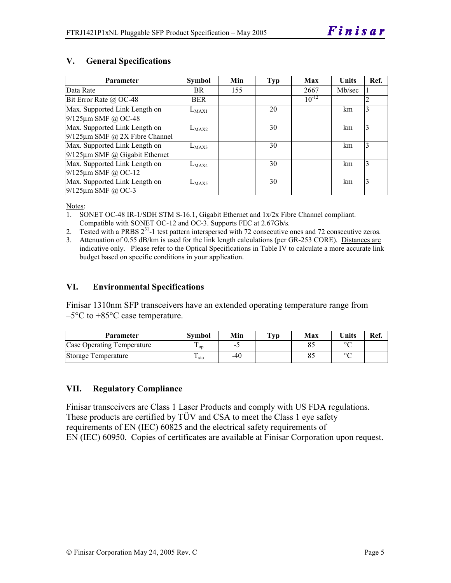# **V. General Specifications**

| <b>Parameter</b>                     | <b>Symbol</b> | Min | <b>Typ</b> | Max        | <b>Units</b> | Ref. |
|--------------------------------------|---------------|-----|------------|------------|--------------|------|
| Data Rate                            | BR.           | 155 |            | 2667       | Mb/sec       |      |
| Bit Error Rate @ OC-48               | <b>BER</b>    |     |            | $10^{-12}$ |              | 2    |
| Max. Supported Link Length on        | $L_{MAX1}$    |     | 20         |            | km           | 3    |
| 9/125µm SMF @ OC-48                  |               |     |            |            |              |      |
| Max. Supported Link Length on        | $L_{MAX2}$    |     | 30         |            | km           | 3    |
| $9/125 \mu m$ SMF @ 2X Fibre Channel |               |     |            |            |              |      |
| Max. Supported Link Length on        | $L_{MAX3}$    |     | 30         |            | km           | 3    |
| $9/125 \mu m$ SMF @ Gigabit Ethernet |               |     |            |            |              |      |
| Max. Supported Link Length on        | $L_{MAX4}$    |     | 30         |            | km           | 3    |
| $9/125 \mu m$ SMF @ OC-12            |               |     |            |            |              |      |
| Max. Supported Link Length on        | $L_{MAX5}$    |     | 30         |            | km           | 3    |
| $9/125$ µm SMF @ OC-3                |               |     |            |            |              |      |

Notes:

- 1. SONET OC-48 IR-1/SDH STM S-16.1, Gigabit Ethernet and 1x/2x Fibre Channel compliant. Compatible with SONET OC-12 and OC-3. Supports FEC at 2.67Gb/s.
- 2. Tested with a PRBS  $2^{31}$ -1 test pattern interspersed with 72 consecutive ones and 72 consecutive zeros.
- 3. Attenuation of 0.55 dB/km is used for the link length calculations (per GR-253 CORE). Distances are indicative only. Please refer to the Optical Specifications in Table IV to calculate a more accurate link budget based on specific conditions in your application.

#### **VI. Environmental Specifications**

Finisar 1310nm SFP transceivers have an extended operating temperature range from  $-5^{\circ}$ C to  $+85^{\circ}$ C case temperature.

| Parameter                  | Svmbol | Min    | $\mathbf{T}_{\mathbf{V}\mathbf{p}}$ | Max | <b>Units</b> | Ref. |
|----------------------------|--------|--------|-------------------------------------|-----|--------------|------|
| Case Operating Temperature | ' op   | $\sim$ |                                     |     | $\sim$       |      |
| Storage Temperature        | ⊥ sto  | -40    |                                     |     | $\sim$       |      |

#### **VII. Regulatory Compliance**

Finisar transceivers are Class 1 Laser Products and comply with US FDA regulations. These products are certified by TÜV and CSA to meet the Class 1 eye safety requirements of EN (IEC) 60825 and the electrical safety requirements of EN (IEC) 60950. Copies of certificates are available at Finisar Corporation upon request.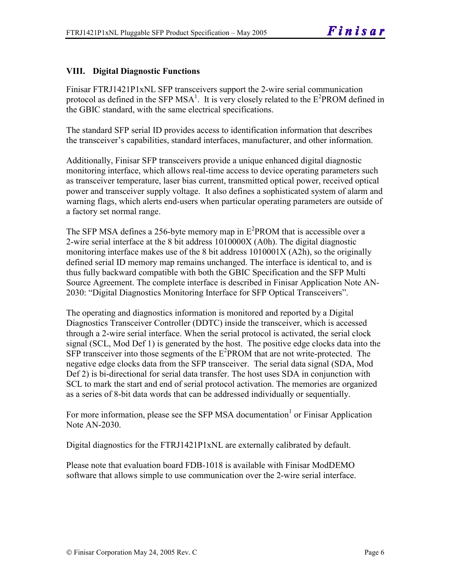# **VIII. Digital Diagnostic Functions**

Finisar FTRJ1421P1xNL SFP transceivers support the 2-wire serial communication protocol as defined in the SFP MSA<sup>1</sup>. It is very closely related to the  $E^2$ PROM defined in the GBIC standard, with the same electrical specifications.

The standard SFP serial ID provides access to identification information that describes the transceiver's capabilities, standard interfaces, manufacturer, and other information.

Additionally, Finisar SFP transceivers provide a unique enhanced digital diagnostic monitoring interface, which allows real-time access to device operating parameters such as transceiver temperature, laser bias current, transmitted optical power, received optical power and transceiver supply voltage. It also defines a sophisticated system of alarm and warning flags, which alerts end-users when particular operating parameters are outside of a factory set normal range.

The SFP MSA defines a 256-byte memory map in  $E^2$ PROM that is accessible over a 2-wire serial interface at the 8 bit address 1010000X (A0h). The digital diagnostic monitoring interface makes use of the 8 bit address 1010001X (A2h), so the originally defined serial ID memory map remains unchanged. The interface is identical to, and is thus fully backward compatible with both the GBIC Specification and the SFP Multi Source Agreement. The complete interface is described in Finisar Application Note AN-2030: "Digital Diagnostics Monitoring Interface for SFP Optical Transceivers".

The operating and diagnostics information is monitored and reported by a Digital Diagnostics Transceiver Controller (DDTC) inside the transceiver, which is accessed through a 2-wire serial interface. When the serial protocol is activated, the serial clock signal (SCL, Mod Def 1) is generated by the host. The positive edge clocks data into the  $SFP$  transceiver into those segments of the  $E^2$ PROM that are not write-protected. The negative edge clocks data from the SFP transceiver. The serial data signal (SDA, Mod Def 2) is bi-directional for serial data transfer. The host uses SDA in conjunction with SCL to mark the start and end of serial protocol activation. The memories are organized as a series of 8-bit data words that can be addressed individually or sequentially.

For more information, please see the SFP MSA documentation<sup>1</sup> or Finisar Application Note AN-2030.

Digital diagnostics for the FTRJ1421P1xNL are externally calibrated by default.

Please note that evaluation board FDB-1018 is available with Finisar ModDEMO software that allows simple to use communication over the 2-wire serial interface.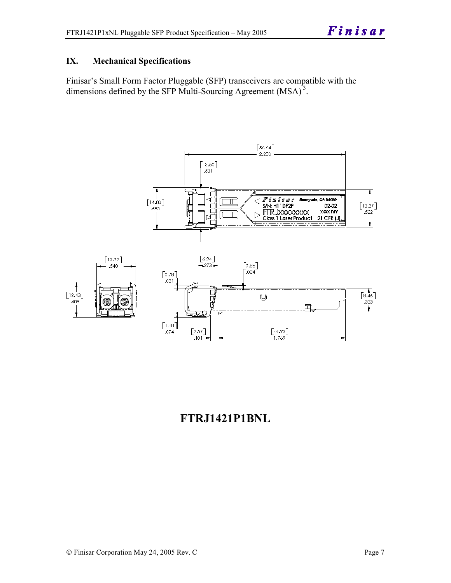# **IX. Mechanical Specifications**

Finisar's Small Form Factor Pluggable (SFP) transceivers are compatible with the dimensions defined by the SFP Multi-Sourcing Agreement (MSA)<sup>3</sup>.



# **FTRJ1421P1BNL**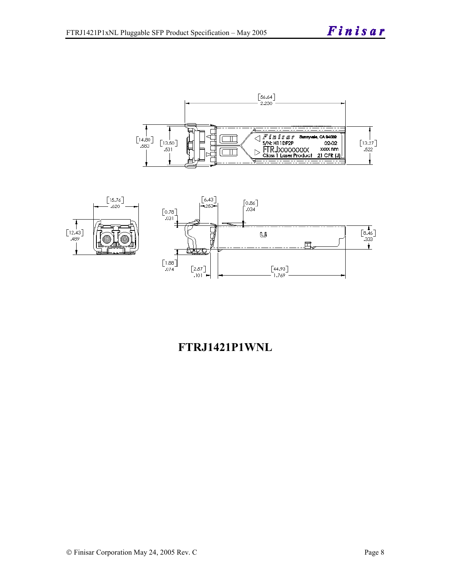



# **FTRJ1421P1WNL**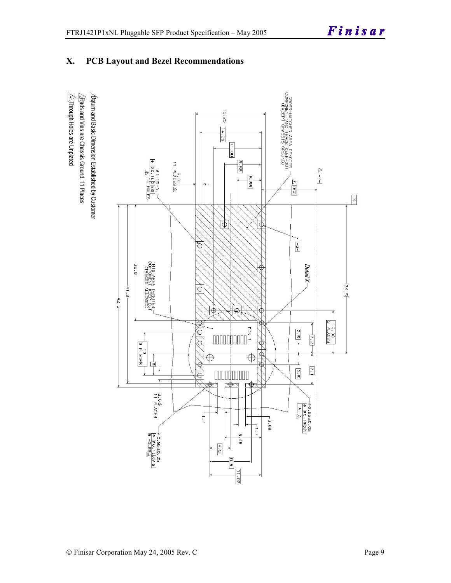

# **X. PCB Layout and Bezel Recommendations**

 $\hat{\triangle}$ Through Holes are Unplated  $\sqrt{2}$ Rads and Vias are Chassis Ground, 11 Places  $\Delta$ atum and Basic Dimension Established by Customer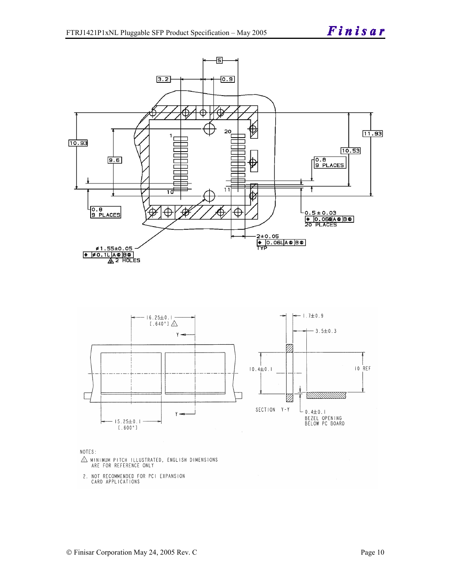



#### NOTES:

- $\triangle$  MINIMUM PITCH ILLUSTRATED, ENGLISH DIMENSIONS ARE FOR REFERENCE ONLY
- 2. NOT RECOMMENDED FOR PCI EXPANSION CARD APPLICATIONS